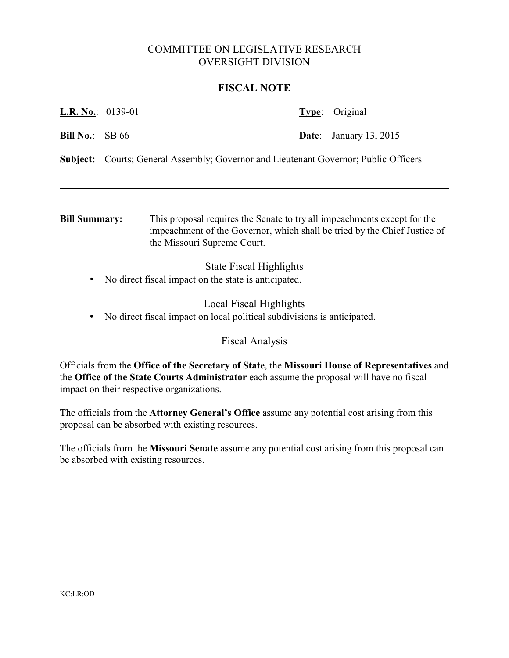# COMMITTEE ON LEGISLATIVE RESEARCH OVERSIGHT DIVISION

## **FISCAL NOTE**

| <b>L.R. No.:</b> 0139-01 |                                                                                             | <b>Type:</b> Original         |
|--------------------------|---------------------------------------------------------------------------------------------|-------------------------------|
| <b>Bill No.:</b> SB $66$ |                                                                                             | <b>Date:</b> January 13, 2015 |
|                          | <b>Subject:</b> Courts; General Assembly; Governor and Lieutenant Governor; Public Officers |                               |
|                          |                                                                                             |                               |

**Bill Summary:** This proposal requires the Senate to try all impeachments except for the impeachment of the Governor, which shall be tried by the Chief Justice of the Missouri Supreme Court.

## State Fiscal Highlights

• No direct fiscal impact on the state is anticipated.

## Local Fiscal Highlights

• No direct fiscal impact on local political subdivisions is anticipated.

#### Fiscal Analysis

Officials from the **Office of the Secretary of State**, the **Missouri House of Representatives** and the **Office of the State Courts Administrator** each assume the proposal will have no fiscal impact on their respective organizations.

The officials from the **Attorney General's Office** assume any potential cost arising from this proposal can be absorbed with existing resources.

The officials from the **Missouri Senate** assume any potential cost arising from this proposal can be absorbed with existing resources.